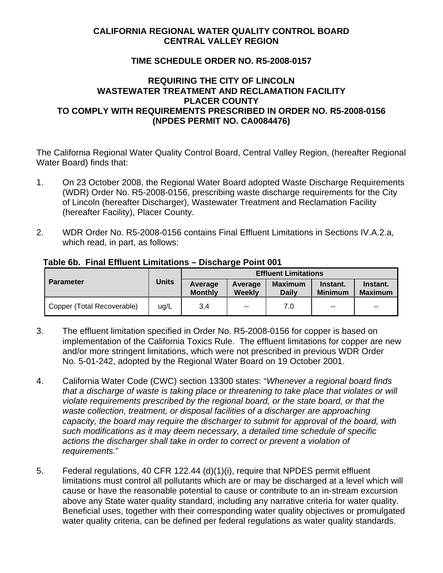## **CALIFORNIA REGIONAL WATER QUALITY CONTROL BOARD CENTRAL VALLEY REGION**

## **TIME SCHEDULE ORDER NO. R5-2008-0157**

## **REQUIRING THE CITY OF LINCOLN WASTEWATER TREATMENT AND RECLAMATION FACILITY PLACER COUNTY TO COMPLY WITH REQUIREMENTS PRESCRIBED IN ORDER NO. R5-2008-0156 (NPDES PERMIT NO. CA0084476)**

The California Regional Water Quality Control Board, Central Valley Region, (hereafter Regional Water Board) finds that:

- 1. On 23 October 2008, the Regional Water Board adopted Waste Discharge Requirements (WDR) Order No. R5-2008-0156, prescribing waste discharge requirements for the City of Lincoln (hereafter Discharger), Wastewater Treatment and Reclamation Facility (hereafter Facility), Placer County.
- 2. WDR Order No. R5-2008-0156 contains Final Effluent Limitations in Sections IV.A.2.a, which read, in part, as follows:

| <b>Parameter</b>           |              | <b>Effluent Limitations</b> |                   |                                |                            |                            |
|----------------------------|--------------|-----------------------------|-------------------|--------------------------------|----------------------------|----------------------------|
|                            | <b>Units</b> | Average<br><b>Monthly</b>   | Average<br>Weekly | <b>Maximum</b><br><b>Daily</b> | Instant.<br><b>Minimum</b> | Instant.<br><b>Maximum</b> |
| Copper (Total Recoverable) | ug/L         | 3.4                         | $\sim$ $\sim$     | 7.0                            | $-$                        | $\sim$ $\sim$              |

#### **Table 6b. Final Effluent Limitations – Discharge Point 001**

- 3. The effluent limitation specified in Order No. R5-2008-0156 for copper is based on implementation of the California Toxics Rule. The effluent limitations for copper are new and/or more stringent limitations, which were not prescribed in previous WDR Order No. 5-01-242, adopted by the Regional Water Board on 19 October 2001.
- 4. California Water Code (CWC) section 13300 states: "*Whenever a regional board finds that a discharge of waste is taking place or threatening to take place that violates or will violate requirements prescribed by the regional board, or the state board, or that the waste collection, treatment, or disposal facilities of a discharger are approaching capacity, the board may require the discharger to submit for approval of the board, with such modifications as it may deem necessary, a detailed time schedule of specific actions the discharger shall take in order to correct or prevent a violation of requirements.*"
- 5. Federal regulations, 40 CFR 122.44 (d)(1)(i), require that NPDES permit effluent limitations must control all pollutants which are or may be discharged at a level which will cause or have the reasonable potential to cause or contribute to an in-stream excursion above any State water quality standard, including any narrative criteria for water quality. Beneficial uses, together with their corresponding water quality objectives or promulgated water quality criteria, can be defined per federal regulations as water quality standards.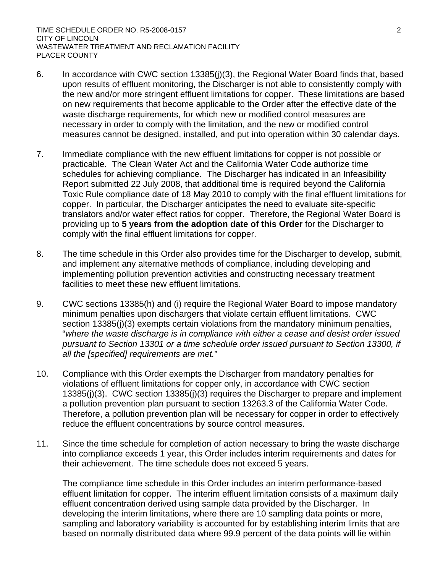- 6. In accordance with CWC section 13385(j)(3), the Regional Water Board finds that, based upon results of effluent monitoring, the Discharger is not able to consistently comply with the new and/or more stringent effluent limitations for copper. These limitations are based on new requirements that become applicable to the Order after the effective date of the waste discharge requirements, for which new or modified control measures are necessary in order to comply with the limitation, and the new or modified control measures cannot be designed, installed, and put into operation within 30 calendar days.
- 7. Immediate compliance with the new effluent limitations for copper is not possible or practicable. The Clean Water Act and the California Water Code authorize time schedules for achieving compliance. The Discharger has indicated in an Infeasibility Report submitted 22 July 2008, that additional time is required beyond the California Toxic Rule compliance date of 18 May 2010 to comply with the final effluent limitations for copper. In particular, the Discharger anticipates the need to evaluate site-specific translators and/or water effect ratios for copper. Therefore, the Regional Water Board is providing up to **5 years from the adoption date of this Order** for the Discharger to comply with the final effluent limitations for copper.
- 8. The time schedule in this Order also provides time for the Discharger to develop, submit, and implement any alternative methods of compliance, including developing and implementing pollution prevention activities and constructing necessary treatment facilities to meet these new effluent limitations.
- 9. CWC sections 13385(h) and (i) require the Regional Water Board to impose mandatory minimum penalties upon dischargers that violate certain effluent limitations. CWC section 13385(j)(3) exempts certain violations from the mandatory minimum penalties, "*where the waste discharge is in compliance with either a cease and desist order issued pursuant to Section 13301 or a time schedule order issued pursuant to Section 13300, if all the [specified] requirements are met.*"
- 10. Compliance with this Order exempts the Discharger from mandatory penalties for violations of effluent limitations for copper only, in accordance with CWC section 13385(j)(3). CWC section 13385(j)(3) requires the Discharger to prepare and implement a pollution prevention plan pursuant to section 13263.3 of the California Water Code. Therefore, a pollution prevention plan will be necessary for copper in order to effectively reduce the effluent concentrations by source control measures.
- 11. Since the time schedule for completion of action necessary to bring the waste discharge into compliance exceeds 1 year, this Order includes interim requirements and dates for their achievement. The time schedule does not exceed 5 years.

The compliance time schedule in this Order includes an interim performance-based effluent limitation for copper. The interim effluent limitation consists of a maximum daily effluent concentration derived using sample data provided by the Discharger. In developing the interim limitations, where there are 10 sampling data points or more, sampling and laboratory variability is accounted for by establishing interim limits that are based on normally distributed data where 99.9 percent of the data points will lie within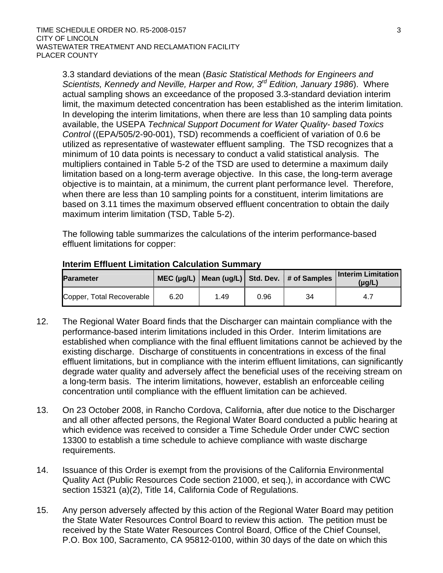3.3 standard deviations of the mean (*Basic Statistical Methods for Engineers and Scientists, Kennedy and Neville, Harper and Row, 3rd Edition, January 1986*). Where actual sampling shows an exceedance of the proposed 3.3-standard deviation interim limit, the maximum detected concentration has been established as the interim limitation. In developing the interim limitations, when there are less than 10 sampling data points available, the USEPA *Technical Support Document for Water Quality- based Toxics Control* ((EPA/505/2-90-001), TSD) recommends a coefficient of variation of 0.6 be utilized as representative of wastewater effluent sampling. The TSD recognizes that a minimum of 10 data points is necessary to conduct a valid statistical analysis. The multipliers contained in Table 5-2 of the TSD are used to determine a maximum daily limitation based on a long-term average objective. In this case, the long-term average objective is to maintain, at a minimum, the current plant performance level. Therefore, when there are less than 10 sampling points for a constituent, interim limitations are based on 3.11 times the maximum observed effluent concentration to obtain the daily maximum interim limitation (TSD, Table 5-2).

The following table summarizes the calculations of the interim performance-based effluent limitations for copper:

| <b>Parameter</b>          |      |      |      | MEC ( $\mu$ g/L)   Mean ( $\mu$ g/L)   Std. Dev.   # of Samples | <b>Interim Limitation</b><br>(µg/L) |
|---------------------------|------|------|------|-----------------------------------------------------------------|-------------------------------------|
| Copper, Total Recoverable | 6.20 | 1.49 | 0.96 | 34                                                              | 4.7                                 |

#### **Interim Effluent Limitation Calculation Summary**

- 12. The Regional Water Board finds that the Discharger can maintain compliance with the performance-based interim limitations included in this Order. Interim limitations are established when compliance with the final effluent limitations cannot be achieved by the existing discharge. Discharge of constituents in concentrations in excess of the final effluent limitations, but in compliance with the interim effluent limitations, can significantly degrade water quality and adversely affect the beneficial uses of the receiving stream on a long-term basis. The interim limitations, however, establish an enforceable ceiling concentration until compliance with the effluent limitation can be achieved.
- 13. On 23 October 2008, in Rancho Cordova, California, after due notice to the Discharger and all other affected persons, the Regional Water Board conducted a public hearing at which evidence was received to consider a Time Schedule Order under CWC section 13300 to establish a time schedule to achieve compliance with waste discharge requirements.
- 14. Issuance of this Order is exempt from the provisions of the California Environmental Quality Act (Public Resources Code section 21000, et seq.), in accordance with CWC section 15321 (a)(2), Title 14, California Code of Regulations.
- 15. Any person adversely affected by this action of the Regional Water Board may petition the State Water Resources Control Board to review this action. The petition must be received by the State Water Resources Control Board, Office of the Chief Counsel, P.O. Box 100, Sacramento, CA 95812-0100, within 30 days of the date on which this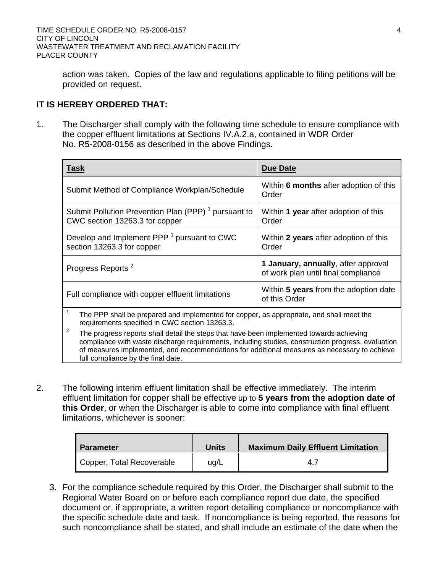action was taken. Copies of the law and regulations applicable to filing petitions will be provided on request.

# **IT IS HEREBY ORDERED THAT:**

1. The Discharger shall comply with the following time schedule to ensure compliance with the copper effluent limitations at Sections IV.A.2.a, contained in WDR Order No. R5-2008-0156 as described in the above Findings.

| <b>Task</b>                                                                                                                                | <b>Due Date</b>                                                            |  |  |
|--------------------------------------------------------------------------------------------------------------------------------------------|----------------------------------------------------------------------------|--|--|
| Submit Method of Compliance Workplan/Schedule                                                                                              | Within 6 months after adoption of this<br>Order                            |  |  |
| Submit Pollution Prevention Plan (PPP) <sup>1</sup> pursuant to<br>CWC section 13263.3 for copper                                          | Within 1 year after adoption of this<br>Order                              |  |  |
| Develop and Implement PPP <sup>1</sup> pursuant to CWC<br>section 13263.3 for copper                                                       | Within 2 years after adoption of this<br>Order                             |  |  |
| Progress Reports <sup>2</sup>                                                                                                              | 1 January, annually, after approval<br>of work plan until final compliance |  |  |
| Full compliance with copper effluent limitations                                                                                           | Within 5 years from the adoption date<br>of this Order                     |  |  |
| The PPP shall be prepared and implemented for copper, as appropriate, and shall meet the<br>requirements specified in CWC section 13263.3. |                                                                            |  |  |

<sup>2</sup> The progress reports shall detail the steps that have been implemented towards achieving compliance with waste discharge requirements, including studies, construction progress, evaluation of measures implemented, and recommendations for additional measures as necessary to achieve full compliance by the final date.

2. The following interim effluent limitation shall be effective immediately. The interim effluent limitation for copper shall be effective up to **5 years from the adoption date of this Order**, or when the Discharger is able to come into compliance with final effluent limitations, whichever is sooner:

| <b>Parameter</b>          | Units | <b>Maximum Daily Effluent Limitation</b> |
|---------------------------|-------|------------------------------------------|
| Copper, Total Recoverable | ug/L  | 47                                       |

3. For the compliance schedule required by this Order, the Discharger shall submit to the Regional Water Board on or before each compliance report due date, the specified document or, if appropriate, a written report detailing compliance or noncompliance with the specific schedule date and task. If noncompliance is being reported, the reasons for such noncompliance shall be stated, and shall include an estimate of the date when the